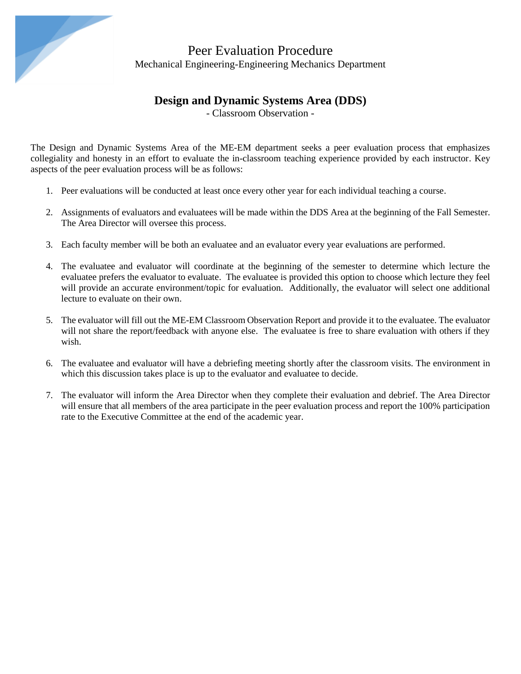

#### **Design and Dynamic Systems Area (DDS)**

- Classroom Observation -

The Design and Dynamic Systems Area of the ME-EM department seeks a peer evaluation process that emphasizes collegiality and honesty in an effort to evaluate the in-classroom teaching experience provided by each instructor. Key aspects of the peer evaluation process will be as follows:

- 1. Peer evaluations will be conducted at least once every other year for each individual teaching a course.
- 2. Assignments of evaluators and evaluatees will be made within the DDS Area at the beginning of the Fall Semester. The Area Director will oversee this process.
- 3. Each faculty member will be both an evaluatee and an evaluator every year evaluations are performed.
- 4. The evaluatee and evaluator will coordinate at the beginning of the semester to determine which lecture the evaluatee prefers the evaluator to evaluate. The evaluatee is provided this option to choose which lecture they feel will provide an accurate environment/topic for evaluation. Additionally, the evaluator will select one additional lecture to evaluate on their own.
- 5. The evaluator will fill out the ME-EM Classroom Observation Report and provide it to the evaluatee. The evaluator will not share the report/feedback with anyone else. The evaluatee is free to share evaluation with others if they wish.
- 6. The evaluatee and evaluator will have a debriefing meeting shortly after the classroom visits. The environment in which this discussion takes place is up to the evaluator and evaluatee to decide.
- 7. The evaluator will inform the Area Director when they complete their evaluation and debrief. The Area Director will ensure that all members of the area participate in the peer evaluation process and report the 100% participation rate to the Executive Committee at the end of the academic year.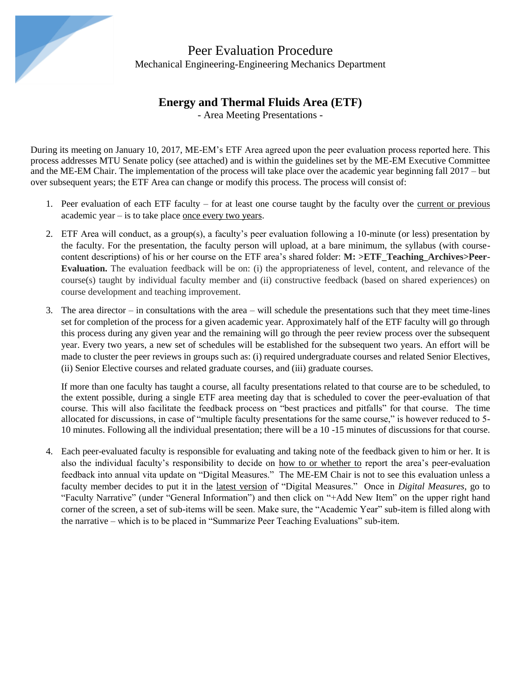

### **Energy and Thermal Fluids Area (ETF)**

- Area Meeting Presentations -

During its meeting on January 10, 2017, ME-EM's ETF Area agreed upon the peer evaluation process reported here. This process addresses MTU Senate policy (see attached) and is within the guidelines set by the ME-EM Executive Committee and the ME-EM Chair. The implementation of the process will take place over the academic year beginning fall 2017 – but over subsequent years; the ETF Area can change or modify this process. The process will consist of:

- 1. Peer evaluation of each ETF faculty for at least one course taught by the faculty over the current or previous academic year – is to take place once every two years.
- 2. ETF Area will conduct, as a group(s), a faculty's peer evaluation following a 10-minute (or less) presentation by the faculty. For the presentation, the faculty person will upload, at a bare minimum, the syllabus (with coursecontent descriptions) of his or her course on the ETF area's shared folder: **M: >ETF\_Teaching\_Archives>Peer-Evaluation.** The evaluation feedback will be on: (i) the appropriateness of level, content, and relevance of the course(s) taught by individual faculty member and (ii) constructive feedback (based on shared experiences) on course development and teaching improvement.
- 3. The area director in consultations with the area will schedule the presentations such that they meet time-lines set for completion of the process for a given academic year. Approximately half of the ETF faculty will go through this process during any given year and the remaining will go through the peer review process over the subsequent year. Every two years, a new set of schedules will be established for the subsequent two years. An effort will be made to cluster the peer reviews in groups such as: (i) required undergraduate courses and related Senior Electives, (ii) Senior Elective courses and related graduate courses, and (iii) graduate courses.

If more than one faculty has taught a course, all faculty presentations related to that course are to be scheduled, to the extent possible, during a single ETF area meeting day that is scheduled to cover the peer-evaluation of that course. This will also facilitate the feedback process on "best practices and pitfalls" for that course. The time allocated for discussions, in case of "multiple faculty presentations for the same course," is however reduced to 5- 10 minutes. Following all the individual presentation; there will be a 10 -15 minutes of discussions for that course.

4. Each peer-evaluated faculty is responsible for evaluating and taking note of the feedback given to him or her. It is also the individual faculty's responsibility to decide on how to or whether to report the area's peer-evaluation feedback into annual vita update on "Digital Measures." The ME-EM Chair is not to see this evaluation unless a faculty member decides to put it in the latest version of "Digital Measures." Once in *Digital Measures*, go to "Faculty Narrative" (under "General Information") and then click on "+Add New Item" on the upper right hand corner of the screen, a set of sub-items will be seen. Make sure, the "Academic Year" sub-item is filled along with the narrative – which is to be placed in "Summarize Peer Teaching Evaluations" sub-item.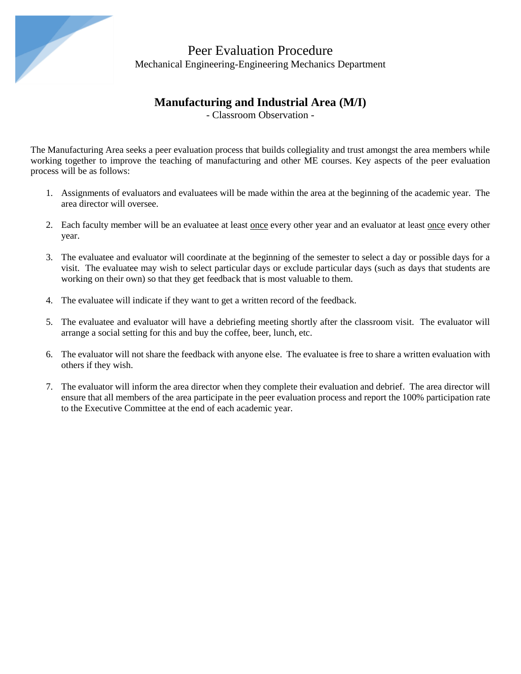

# **Manufacturing and Industrial Area (M/I)**

- Classroom Observation -

The Manufacturing Area seeks a peer evaluation process that builds collegiality and trust amongst the area members while working together to improve the teaching of manufacturing and other ME courses. Key aspects of the peer evaluation process will be as follows:

- 1. Assignments of evaluators and evaluatees will be made within the area at the beginning of the academic year. The area director will oversee.
- 2. Each faculty member will be an evaluatee at least once every other year and an evaluator at least once every other year.
- 3. The evaluatee and evaluator will coordinate at the beginning of the semester to select a day or possible days for a visit. The evaluatee may wish to select particular days or exclude particular days (such as days that students are working on their own) so that they get feedback that is most valuable to them.
- 4. The evaluatee will indicate if they want to get a written record of the feedback.
- 5. The evaluatee and evaluator will have a debriefing meeting shortly after the classroom visit. The evaluator will arrange a social setting for this and buy the coffee, beer, lunch, etc.
- 6. The evaluator will not share the feedback with anyone else. The evaluatee is free to share a written evaluation with others if they wish.
- 7. The evaluator will inform the area director when they complete their evaluation and debrief. The area director will ensure that all members of the area participate in the peer evaluation process and report the 100% participation rate to the Executive Committee at the end of each academic year.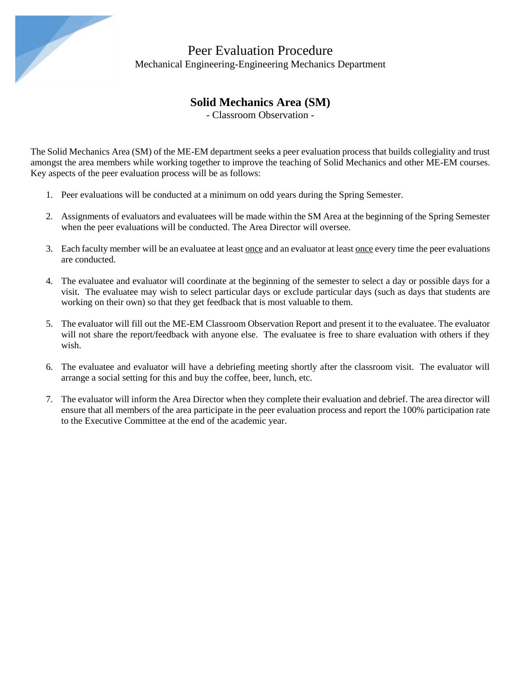

# **Solid Mechanics Area (SM)**

- Classroom Observation -

The Solid Mechanics Area (SM) of the ME-EM department seeks a peer evaluation process that builds collegiality and trust amongst the area members while working together to improve the teaching of Solid Mechanics and other ME-EM courses. Key aspects of the peer evaluation process will be as follows:

- 1. Peer evaluations will be conducted at a minimum on odd years during the Spring Semester.
- 2. Assignments of evaluators and evaluatees will be made within the SM Area at the beginning of the Spring Semester when the peer evaluations will be conducted. The Area Director will oversee.
- 3. Each faculty member will be an evaluatee at least <u>once</u> and an evaluator at least <u>once</u> every time the peer evaluations are conducted.
- 4. The evaluatee and evaluator will coordinate at the beginning of the semester to select a day or possible days for a visit. The evaluatee may wish to select particular days or exclude particular days (such as days that students are working on their own) so that they get feedback that is most valuable to them.
- 5. The evaluator will fill out the ME-EM Classroom Observation Report and present it to the evaluatee. The evaluator will not share the report/feedback with anyone else. The evaluatee is free to share evaluation with others if they wish.
- 6. The evaluatee and evaluator will have a debriefing meeting shortly after the classroom visit. The evaluator will arrange a social setting for this and buy the coffee, beer, lunch, etc.
- 7. The evaluator will inform the Area Director when they complete their evaluation and debrief. The area director will ensure that all members of the area participate in the peer evaluation process and report the 100% participation rate to the Executive Committee at the end of the academic year.